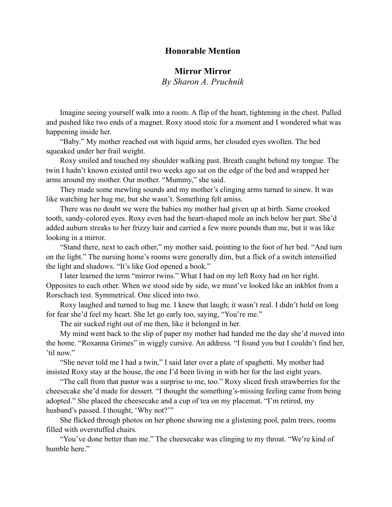## **Honorable Mention**

## **Mirror Mirror**

*By Sharon A. Pruchnik*

Imagine seeing yourself walk into a room. A flip of the heart, tightening in the chest. Pulled and pushed like two ends of a magnet. Roxy stood stoic for a moment and I wondered what was happening inside her.

"Baby." My mother reached out with liquid arms, her clouded eyes swollen. The bed squeaked under her frail weight.

Roxy smiled and touched my shoulder walking past. Breath caught behind my tongue. The twin I hadn't known existed until two weeks ago sat on the edge of the bed and wrapped her arms around my mother. Our mother. "Mummy," she said.

They made some mewling sounds and my mother's clinging arms turned to sinew. It was like watching her hug me, but she wasn't. Something felt amiss.

There was no doubt we were the babies my mother had given up at birth. Same crooked tooth, sandy-colored eyes. Roxy even had the heart-shaped mole an inch below her part. She'd added auburn streaks to her frizzy hair and carried a few more pounds than me, but it was like looking in a mirror.

"Stand there, next to each other," my mother said, pointing to the foot of her bed. "And turn on the light." The nursing home's rooms were generally dim, but a flick of a switch intensified the light and shadows. "It's like God opened a book."

I later learned the term "mirror twins." What I had on my left Roxy had on her right. Opposites to each other. When we stood side by side, we must've looked like an inkblot from a Rorschach test. Symmetrical. One sliced into two.

Roxy laughed and turned to hug me. I knew that laugh; it wasn't real. I didn't hold on long for fear she'd feel my heart. She let go early too, saying, "You're me."

The air sucked right out of me then, like it belonged in her.

My mind went back to the slip of paper my mother had handed me the day she'd moved into the home. "Roxanna Grimes" in wiggly cursive. An address. "I found you but I couldn't find her, 'til now."

"She never told me I had a twin," I said later over a plate of spaghetti. My mother had insisted Roxy stay at the house, the one I'd been living in with her for the last eight years.

"The call from that pastor was a surprise to me, too." Roxy sliced fresh strawberries for the cheesecake she'd made for dessert. "I thought the something's-missing feeling came from being adopted." She placed the cheesecake and a cup of tea on my placemat. "I'm retired, my husband's passed. I thought, 'Why not?'"

She flicked through photos on her phone showing me a glistening pool, palm trees, rooms filled with overstuffed chairs.

"You've done better than me." The cheesecake was clinging to my throat. "We're kind of humble here."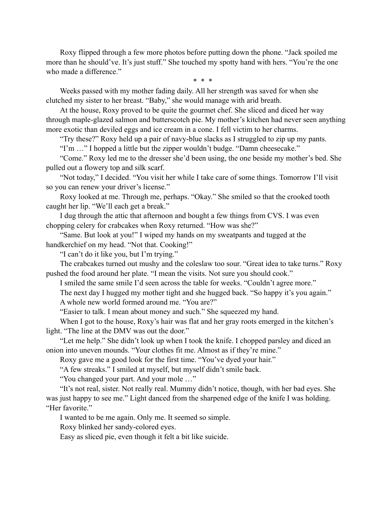Roxy flipped through a few more photos before putting down the phone. "Jack spoiled me more than he should've. It's just stuff." She touched my spotty hand with hers. "You're the one who made a difference."

\* \* \*

Weeks passed with my mother fading daily. All her strength was saved for when she clutched my sister to her breast. "Baby," she would manage with arid breath.

At the house, Roxy proved to be quite the gourmet chef. She sliced and diced her way through maple-glazed salmon and butterscotch pie. My mother's kitchen had never seen anything more exotic than deviled eggs and ice cream in a cone. I fell victim to her charms.

"Try these?" Roxy held up a pair of navy-blue slacks as I struggled to zip up my pants.

"I'm …" I hopped a little but the zipper wouldn't budge. "Damn cheesecake."

"Come." Roxy led me to the dresser she'd been using, the one beside my mother's bed. She pulled out a flowery top and silk scarf.

"Not today," I decided. "You visit her while I take care of some things. Tomorrow I'll visit so you can renew your driver's license."

Roxy looked at me. Through me, perhaps. "Okay." She smiled so that the crooked tooth caught her lip. "We'll each get a break."

I dug through the attic that afternoon and bought a few things from CVS. I was even chopping celery for crabcakes when Roxy returned. "How was she?"

"Same. But look at you!" I wiped my hands on my sweatpants and tugged at the handkerchief on my head. "Not that. Cooking!"

"I can't do it like you, but I'm trying."

The crabcakes turned out mushy and the coleslaw too sour. "Great idea to take turns." Roxy pushed the food around her plate. "I mean the visits. Not sure you should cook."

I smiled the same smile I'd seen across the table for weeks. "Couldn't agree more."

The next day I hugged my mother tight and she hugged back. "So happy it's you again."

A whole new world formed around me. "You are?"

"Easier to talk. I mean about money and such." She squeezed my hand.

When I got to the house, Roxy's hair was flat and her gray roots emerged in the kitchen's light. "The line at the DMV was out the door."

"Let me help." She didn't look up when I took the knife. I chopped parsley and diced an onion into uneven mounds. "Your clothes fit me. Almost as if they're mine."

Roxy gave me a good look for the first time. "You've dyed your hair."

"A few streaks." I smiled at myself, but myself didn't smile back.

"You changed your part. And your mole …"

"It's not real, sister. Not really real. Mummy didn't notice, though, with her bad eyes. She was just happy to see me." Light danced from the sharpened edge of the knife I was holding. "Her favorite."

I wanted to be me again. Only me. It seemed so simple.

Roxy blinked her sandy-colored eyes.

Easy as sliced pie, even though it felt a bit like suicide.